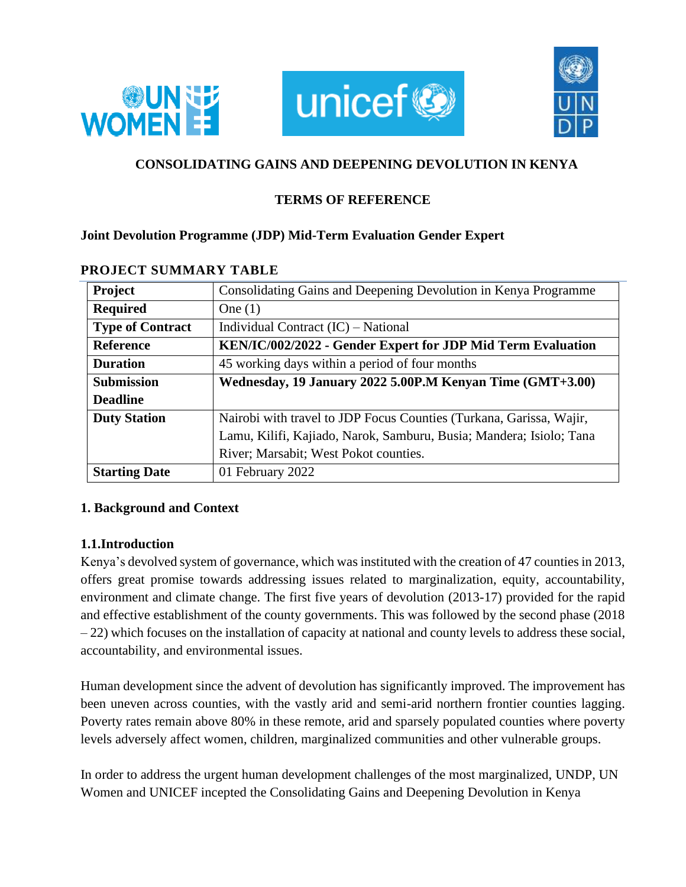





# **CONSOLIDATING GAINS AND DEEPENING DEVOLUTION IN KENYA**

# **TERMS OF REFERENCE**

## **Joint Devolution Programme (JDP) Mid-Term Evaluation Gender Expert**

| <b>Project</b>          | Consolidating Gains and Deepening Devolution in Kenya Programme     |  |
|-------------------------|---------------------------------------------------------------------|--|
| <b>Required</b>         | One $(1)$                                                           |  |
| <b>Type of Contract</b> | Individual Contract (IC) – National                                 |  |
| <b>Reference</b>        | KEN/IC/002/2022 - Gender Expert for JDP Mid Term Evaluation         |  |
| <b>Duration</b>         | 45 working days within a period of four months                      |  |
| <b>Submission</b>       | Wednesday, 19 January 2022 5.00P.M Kenyan Time (GMT+3.00)           |  |
| <b>Deadline</b>         |                                                                     |  |
| <b>Duty Station</b>     | Nairobi with travel to JDP Focus Counties (Turkana, Garissa, Wajir, |  |
|                         | Lamu, Kilifi, Kajiado, Narok, Samburu, Busia; Mandera; Isiolo; Tana |  |
|                         | River; Marsabit; West Pokot counties.                               |  |
| <b>Starting Date</b>    | 01 February 2022                                                    |  |

#### **PROJECT SUMMARY TABLE**

### **1. Background and Context**

### **1.1.Introduction**

Kenya's devolved system of governance, which was instituted with the creation of 47 counties in 2013, offers great promise towards addressing issues related to marginalization, equity, accountability, environment and climate change. The first five years of devolution (2013-17) provided for the rapid and effective establishment of the county governments. This was followed by the second phase (2018 – 22) which focuses on the installation of capacity at national and county levels to address these social, accountability, and environmental issues.

Human development since the advent of devolution has significantly improved. The improvement has been uneven across counties, with the vastly arid and semi-arid northern frontier counties lagging. Poverty rates remain above 80% in these remote, arid and sparsely populated counties where poverty levels adversely affect women, children, marginalized communities and other vulnerable groups.

In order to address the urgent human development challenges of the most marginalized, UNDP, UN Women and UNICEF incepted the Consolidating Gains and Deepening Devolution in Kenya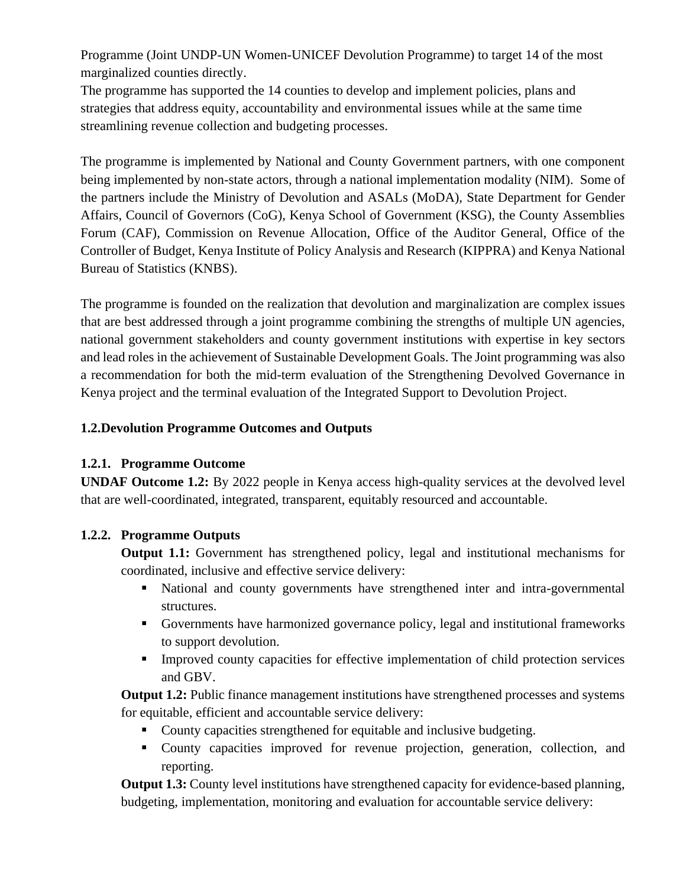Programme (Joint UNDP-UN Women-UNICEF Devolution Programme) to target 14 of the most marginalized counties directly.

The programme has supported the 14 counties to develop and implement policies, plans and strategies that address equity, accountability and environmental issues while at the same time streamlining revenue collection and budgeting processes.

The programme is implemented by National and County Government partners, with one component being implemented by non-state actors, through a national implementation modality (NIM). Some of the partners include the Ministry of Devolution and ASALs (MoDA), State Department for Gender Affairs, Council of Governors (CoG), Kenya School of Government (KSG), the County Assemblies Forum (CAF), Commission on Revenue Allocation, Office of the Auditor General, Office of the Controller of Budget, Kenya Institute of Policy Analysis and Research (KIPPRA) and Kenya National Bureau of Statistics (KNBS).

The programme is founded on the realization that devolution and marginalization are complex issues that are best addressed through a joint programme combining the strengths of multiple UN agencies, national government stakeholders and county government institutions with expertise in key sectors and lead roles in the achievement of Sustainable Development Goals. The Joint programming was also a recommendation for both the mid-term evaluation of the Strengthening Devolved Governance in Kenya project and the terminal evaluation of the Integrated Support to Devolution Project.

# **1.2.Devolution Programme Outcomes and Outputs**

### **1.2.1. Programme Outcome**

**UNDAF Outcome 1.2:** By 2022 people in Kenya access high-quality services at the devolved level that are well-coordinated, integrated, transparent, equitably resourced and accountable.

### **1.2.2. Programme Outputs**

**Output 1.1:** Government has strengthened policy, legal and institutional mechanisms for coordinated, inclusive and effective service delivery:

- National and county governments have strengthened inter and intra-governmental structures.
- Governments have harmonized governance policy, legal and institutional frameworks to support devolution.
- **EXECUTE:** Improved county capacities for effective implementation of child protection services and GBV.

**Output 1.2:** Public finance management institutions have strengthened processes and systems for equitable, efficient and accountable service delivery:

- County capacities strengthened for equitable and inclusive budgeting.
- County capacities improved for revenue projection, generation, collection, and reporting.

**Output 1.3:** County level institutions have strengthened capacity for evidence-based planning, budgeting, implementation, monitoring and evaluation for accountable service delivery: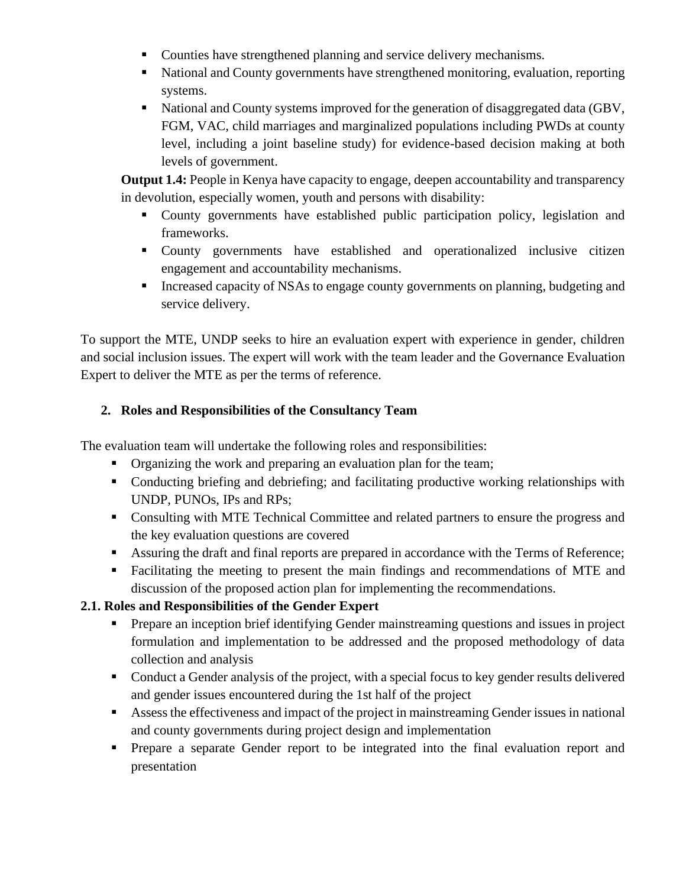- Counties have strengthened planning and service delivery mechanisms.
- National and County governments have strengthened monitoring, evaluation, reporting systems.
- National and County systems improved for the generation of disaggregated data (GBV, FGM, VAC, child marriages and marginalized populations including PWDs at county level, including a joint baseline study) for evidence-based decision making at both levels of government.

**Output 1.4:** People in Kenya have capacity to engage, deepen accountability and transparency in devolution, especially women, youth and persons with disability:

- County governments have established public participation policy, legislation and frameworks.
- County governments have established and operationalized inclusive citizen engagement and accountability mechanisms.
- **EXECUTE:** Increased capacity of NSAs to engage county governments on planning, budgeting and service delivery.

To support the MTE, UNDP seeks to hire an evaluation expert with experience in gender, children and social inclusion issues. The expert will work with the team leader and the Governance Evaluation Expert to deliver the MTE as per the terms of reference.

# **2. Roles and Responsibilities of the Consultancy Team**

The evaluation team will undertake the following roles and responsibilities:

- **•** Organizing the work and preparing an evaluation plan for the team;
- Conducting briefing and debriefing; and facilitating productive working relationships with UNDP, PUNOs, IPs and RPs;
- Consulting with MTE Technical Committee and related partners to ensure the progress and the key evaluation questions are covered
- Assuring the draft and final reports are prepared in accordance with the Terms of Reference;
- Facilitating the meeting to present the main findings and recommendations of MTE and discussion of the proposed action plan for implementing the recommendations.

# **2.1. Roles and Responsibilities of the Gender Expert**

- **•** Prepare an inception brief identifying Gender mainstreaming questions and issues in project formulation and implementation to be addressed and the proposed methodology of data collection and analysis
- Conduct a Gender analysis of the project, with a special focus to key gender results delivered and gender issues encountered during the 1st half of the project
- Assess the effectiveness and impact of the project in mainstreaming Gender issues in national and county governments during project design and implementation
- Prepare a separate Gender report to be integrated into the final evaluation report and presentation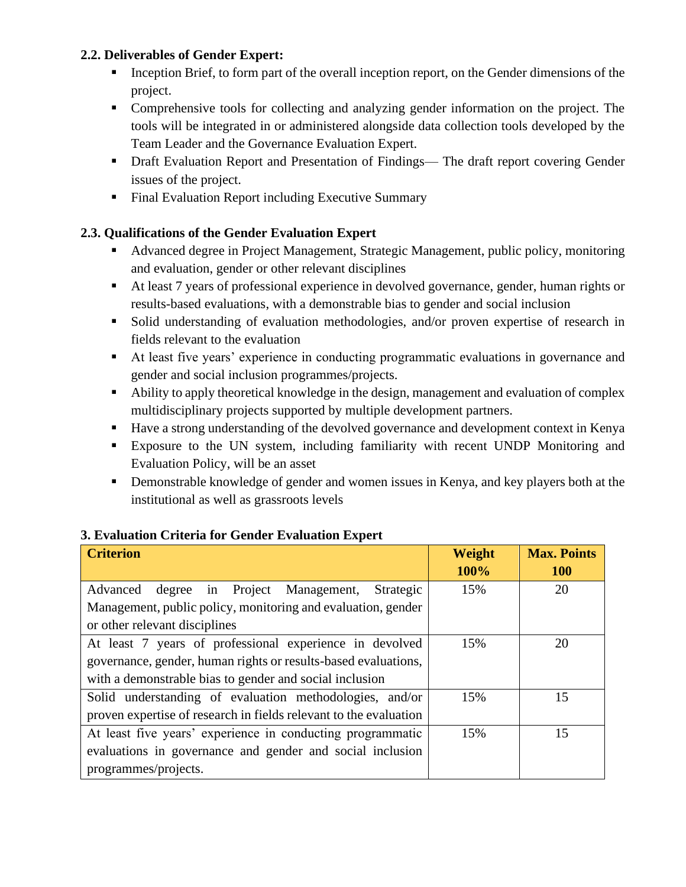## **2.2. Deliverables of Gender Expert:**

- Inception Brief, to form part of the overall inception report, on the Gender dimensions of the project.
- Comprehensive tools for collecting and analyzing gender information on the project. The tools will be integrated in or administered alongside data collection tools developed by the Team Leader and the Governance Evaluation Expert.
- Draft Evaluation Report and Presentation of Findings— The draft report covering Gender issues of the project.
- Final Evaluation Report including Executive Summary

# **2.3. Qualifications of the Gender Evaluation Expert**

- Advanced degree in Project Management, Strategic Management, public policy, monitoring and evaluation, gender or other relevant disciplines
- At least 7 years of professional experience in devolved governance, gender, human rights or results-based evaluations, with a demonstrable bias to gender and social inclusion
- Solid understanding of evaluation methodologies, and/or proven expertise of research in fields relevant to the evaluation
- At least five years' experience in conducting programmatic evaluations in governance and gender and social inclusion programmes/projects.
- Ability to apply theoretical knowledge in the design, management and evaluation of complex multidisciplinary projects supported by multiple development partners.
- Have a strong understanding of the devolved governance and development context in Kenya
- Exposure to the UN system, including familiarity with recent UNDP Monitoring and Evaluation Policy, will be an asset
- **•** Demonstrable knowledge of gender and women issues in Kenya, and key players both at the institutional as well as grassroots levels

#### **3. Evaluation Criteria for Gender Evaluation Expert**

| <b>Criterion</b>                                                  | Weight | <b>Max. Points</b> |
|-------------------------------------------------------------------|--------|--------------------|
|                                                                   | 100%   | <b>100</b>         |
| degree in Project Management,<br>Strategic<br>Advanced            | 15%    | 20                 |
| Management, public policy, monitoring and evaluation, gender      |        |                    |
| or other relevant disciplines                                     |        |                    |
| At least 7 years of professional experience in devolved           | 15%    | 20                 |
| governance, gender, human rights or results-based evaluations,    |        |                    |
| with a demonstrable bias to gender and social inclusion           |        |                    |
| Solid understanding of evaluation methodologies, and/or           | 15%    | 15                 |
| proven expertise of research in fields relevant to the evaluation |        |                    |
| At least five years' experience in conducting programmatic        | 15%    | 15                 |
| evaluations in governance and gender and social inclusion         |        |                    |
| programmes/projects.                                              |        |                    |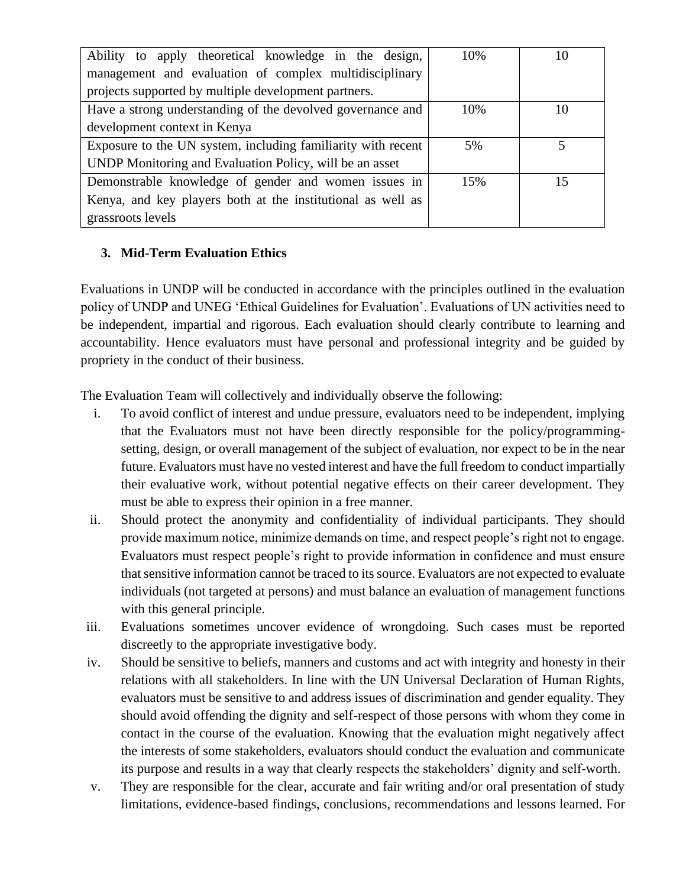| Ability to apply theoretical knowledge in the design,        | 10% | 10 |
|--------------------------------------------------------------|-----|----|
| management and evaluation of complex multidisciplinary       |     |    |
| projects supported by multiple development partners.         |     |    |
| Have a strong understanding of the devolved governance and   | 10% | 10 |
| development context in Kenya                                 |     |    |
| Exposure to the UN system, including familiarity with recent | 5%  |    |
| UNDP Monitoring and Evaluation Policy, will be an asset      |     |    |
| Demonstrable knowledge of gender and women issues in         | 15% | 15 |
| Kenya, and key players both at the institutional as well as  |     |    |
| grassroots levels                                            |     |    |

# **3. Mid-Term Evaluation Ethics**

Evaluations in UNDP will be conducted in accordance with the principles outlined in the evaluation policy of UNDP and UNEG 'Ethical Guidelines for Evaluation'. Evaluations of UN activities need to be independent, impartial and rigorous. Each evaluation should clearly contribute to learning and accountability. Hence evaluators must have personal and professional integrity and be guided by propriety in the conduct of their business.

The Evaluation Team will collectively and individually observe the following:

- i. To avoid conflict of interest and undue pressure, evaluators need to be independent, implying that the Evaluators must not have been directly responsible for the policy/programmingsetting, design, or overall management of the subject of evaluation, nor expect to be in the near future. Evaluators must have no vested interest and have the full freedom to conduct impartially their evaluative work, without potential negative effects on their career development. They must be able to express their opinion in a free manner.
- ii. Should protect the anonymity and confidentiality of individual participants. They should provide maximum notice, minimize demands on time, and respect people's right not to engage. Evaluators must respect people's right to provide information in confidence and must ensure that sensitive information cannot be traced to its source. Evaluators are not expected to evaluate individuals (not targeted at persons) and must balance an evaluation of management functions with this general principle.
- iii. Evaluations sometimes uncover evidence of wrongdoing. Such cases must be reported discreetly to the appropriate investigative body.
- iv. Should be sensitive to beliefs, manners and customs and act with integrity and honesty in their relations with all stakeholders. In line with the UN Universal Declaration of Human Rights, evaluators must be sensitive to and address issues of discrimination and gender equality. They should avoid offending the dignity and self-respect of those persons with whom they come in contact in the course of the evaluation. Knowing that the evaluation might negatively affect the interests of some stakeholders, evaluators should conduct the evaluation and communicate its purpose and results in a way that clearly respects the stakeholders' dignity and self-worth.
- v. They are responsible for the clear, accurate and fair writing and/or oral presentation of study limitations, evidence-based findings, conclusions, recommendations and lessons learned. For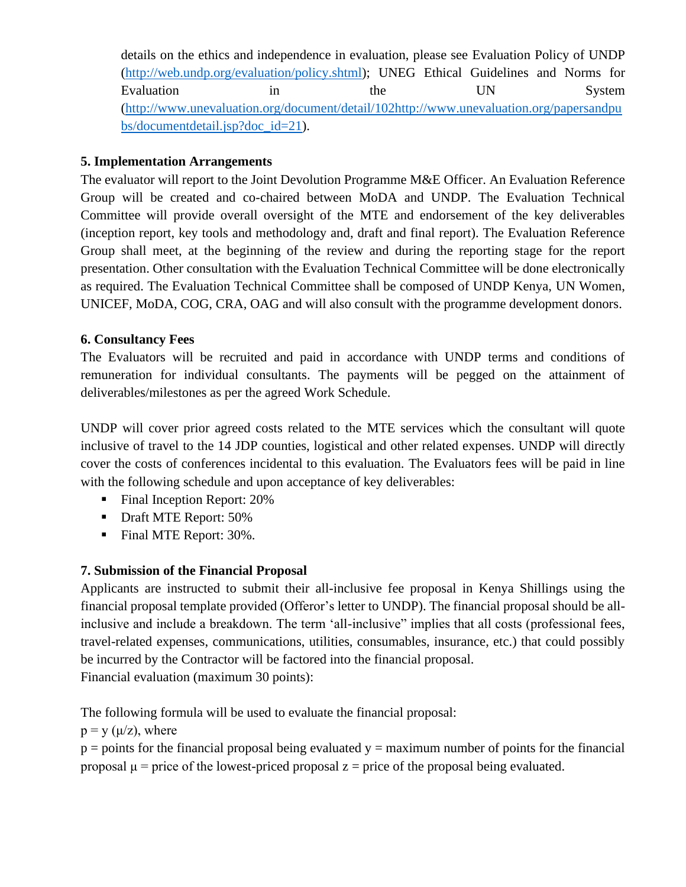details on the ethics and independence in evaluation, please see Evaluation Policy of UNDP [\(http://web.undp.org/evaluation/policy.shtml\)](http://web.undp.org/evaluation/policy.shtml); UNEG Ethical Guidelines and Norms for Evaluation in the UN System [\(http://www.unevaluation.org/document/detail/102http://www.unevaluation.org/papersandpu](http://www.unevaluation.org/document/detail/102http:/www.unevaluation.org/papersandpubs/documentdetail.jsp?doc_id=21) [bs/documentdetail.jsp?doc\\_id=21\)](http://www.unevaluation.org/document/detail/102http:/www.unevaluation.org/papersandpubs/documentdetail.jsp?doc_id=21).

### **5. Implementation Arrangements**

The evaluator will report to the Joint Devolution Programme M&E Officer. An Evaluation Reference Group will be created and co-chaired between MoDA and UNDP. The Evaluation Technical Committee will provide overall oversight of the MTE and endorsement of the key deliverables (inception report, key tools and methodology and, draft and final report). The Evaluation Reference Group shall meet, at the beginning of the review and during the reporting stage for the report presentation. Other consultation with the Evaluation Technical Committee will be done electronically as required. The Evaluation Technical Committee shall be composed of UNDP Kenya, UN Women, UNICEF, MoDA, COG, CRA, OAG and will also consult with the programme development donors.

## **6. Consultancy Fees**

The Evaluators will be recruited and paid in accordance with UNDP terms and conditions of remuneration for individual consultants. The payments will be pegged on the attainment of deliverables/milestones as per the agreed Work Schedule.

UNDP will cover prior agreed costs related to the MTE services which the consultant will quote inclusive of travel to the 14 JDP counties, logistical and other related expenses. UNDP will directly cover the costs of conferences incidental to this evaluation. The Evaluators fees will be paid in line with the following schedule and upon acceptance of key deliverables:

- Final Inception Report: 20%
- Draft MTE Report: 50%
- Final MTE Report: 30%.

# **7. Submission of the Financial Proposal**

Applicants are instructed to submit their all-inclusive fee proposal in Kenya Shillings using the financial proposal template provided (Offeror's letter to UNDP). The financial proposal should be allinclusive and include a breakdown. The term 'all-inclusive" implies that all costs (professional fees, travel-related expenses, communications, utilities, consumables, insurance, etc.) that could possibly be incurred by the Contractor will be factored into the financial proposal. Financial evaluation (maximum 30 points):

The following formula will be used to evaluate the financial proposal:

 $p = y$  ( $\mu$ /z), where

 $p =$  points for the financial proposal being evaluated  $y =$  maximum number of points for the financial proposal  $\mu$  = price of the lowest-priced proposal z = price of the proposal being evaluated.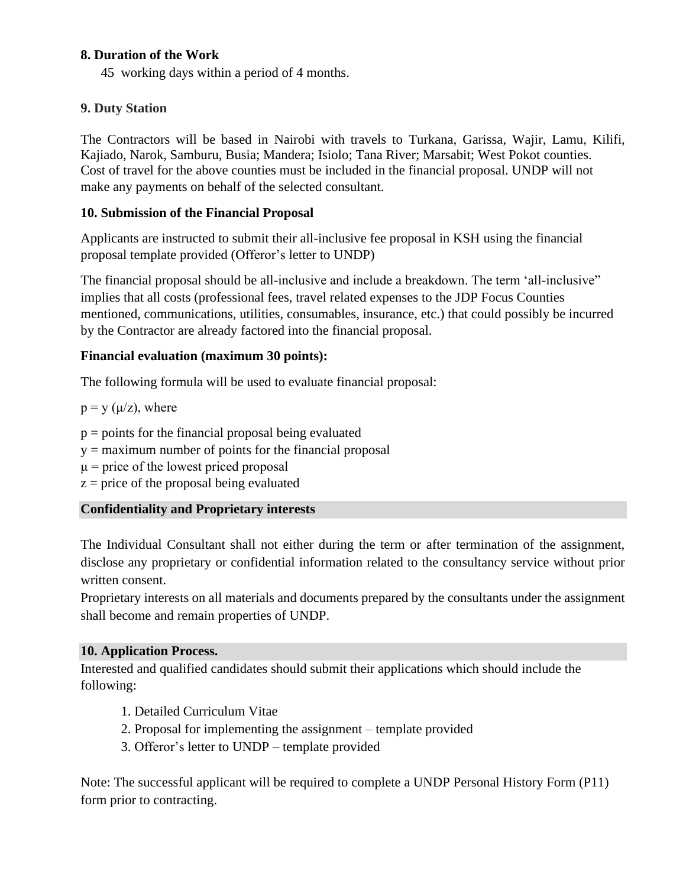### **8. Duration of the Work**

45 working days within a period of 4 months.

## **9. Duty Station**

The Contractors will be based in Nairobi with travels to Turkana, Garissa, Wajir, Lamu, Kilifi, Kajiado, Narok, Samburu, Busia; Mandera; Isiolo; Tana River; Marsabit; West Pokot counties. Cost of travel for the above counties must be included in the financial proposal. UNDP will not make any payments on behalf of the selected consultant.

### **10. Submission of the Financial Proposal**

Applicants are instructed to submit their all-inclusive fee proposal in KSH using the financial proposal template provided (Offeror's letter to UNDP)

The financial proposal should be all-inclusive and include a breakdown. The term 'all-inclusive" implies that all costs (professional fees, travel related expenses to the JDP Focus Counties mentioned, communications, utilities, consumables, insurance, etc.) that could possibly be incurred by the Contractor are already factored into the financial proposal.

## **Financial evaluation (maximum 30 points):**

The following formula will be used to evaluate financial proposal:

 $p = y$  ( $\mu$ /z), where

 $p =$  points for the financial proposal being evaluated

- $y =$  maximum number of points for the financial proposal
- $\mu$  = price of the lowest priced proposal
- $z =$  price of the proposal being evaluated

# **Confidentiality and Proprietary interests**

The Individual Consultant shall not either during the term or after termination of the assignment, disclose any proprietary or confidential information related to the consultancy service without prior written consent.

Proprietary interests on all materials and documents prepared by the consultants under the assignment shall become and remain properties of UNDP.

### **10. Application Process.**

Interested and qualified candidates should submit their applications which should include the following:

- 1. Detailed Curriculum Vitae
- 2. Proposal for implementing the assignment template provided
- 3. Offeror's letter to UNDP template provided

Note: The successful applicant will be required to complete a UNDP Personal History Form (P11) form prior to contracting.